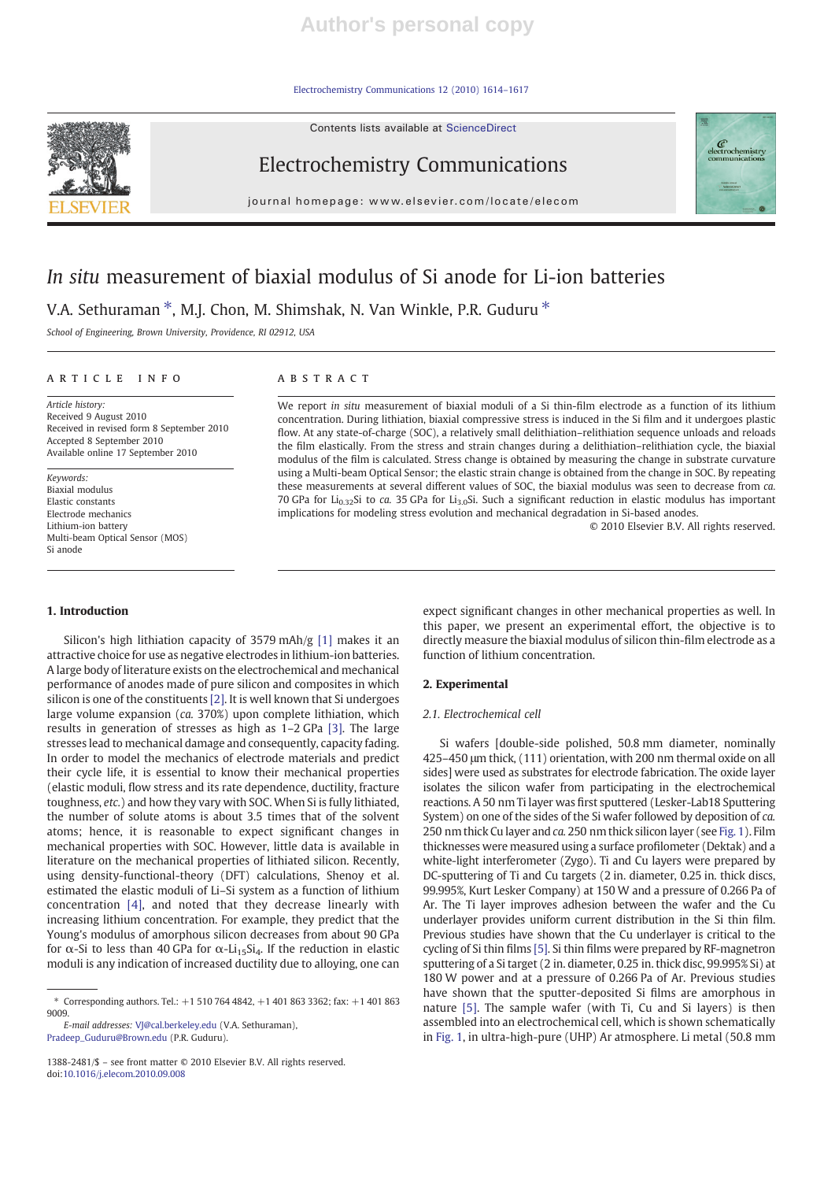Electrochemistry Communications 12 (2010) 1614–1617

Contents lists available at ScienceDirect



# Electrochemistry Communications

journal homepage: www.elsevier.com/locate/elecom



# In situ measurement of biaxial modulus of Si anode for Li-ion batteries

V.A. Sethuraman  $*$ , M.J. Chon, M. Shimshak, N. Van Winkle, P.R. Guduru  $*$ 

School of Engineering, Brown University, Providence, RI 02912, USA

## article info abstract

Article history: Received 9 August 2010 Received in revised form 8 September 2010 Accepted 8 September 2010 Available online 17 September 2010

Keywords: Biaxial modulus Elastic constants Electrode mechanics Lithium-ion battery Multi-beam Optical Sensor (MOS) Si anode

### 1. Introduction

Silicon's high lithiation capacity of 3579 mAh/g [1] makes it an attractive choice for use as negative electrodes in lithium-ion batteries. A large body of literature exists on the electrochemical and mechanical performance of anodes made of pure silicon and composites in which silicon is one of the constituents [2]. It is well known that Si undergoes large volume expansion (ca. 370%) upon complete lithiation, which results in generation of stresses as high as 1–2 GPa [3]. The large stresses lead to mechanical damage and consequently, capacity fading. In order to model the mechanics of electrode materials and predict their cycle life, it is essential to know their mechanical properties (elastic moduli, flow stress and its rate dependence, ductility, fracture toughness, etc.) and how they vary with SOC. When Si is fully lithiated, the number of solute atoms is about 3.5 times that of the solvent atoms; hence, it is reasonable to expect significant changes in mechanical properties with SOC. However, little data is available in literature on the mechanical properties of lithiated silicon. Recently, using density-functional-theory (DFT) calculations, Shenoy et al. estimated the elastic moduli of Li–Si system as a function of lithium concentration [4], and noted that they decrease linearly with increasing lithium concentration. For example, they predict that the Young's modulus of amorphous silicon decreases from about 90 GPa for  $\alpha$ -Si to less than 40 GPa for  $\alpha$ -Li<sub>15</sub>Si<sub>4</sub>. If the reduction in elastic moduli is any indication of increased ductility due to alloying, one can

E-mail addresses: VJ@cal.berkeley.edu (V.A. Sethuraman), Pradeep\_Guduru@Brown.edu (P.R. Guduru).

1388-2481/\$ – see front matter © 2010 Elsevier B.V. All rights reserved. doi:10.1016/j.elecom.2010.09.008

We report in situ measurement of biaxial moduli of a Si thin-film electrode as a function of its lithium concentration. During lithiation, biaxial compressive stress is induced in the Si film and it undergoes plastic flow. At any state-of-charge (SOC), a relatively small delithiation–relithiation sequence unloads and reloads the film elastically. From the stress and strain changes during a delithiation–relithiation cycle, the biaxial modulus of the film is calculated. Stress change is obtained by measuring the change in substrate curvature using a Multi-beam Optical Sensor; the elastic strain change is obtained from the change in SOC. By repeating these measurements at several different values of SOC, the biaxial modulus was seen to decrease from ca. 70 GPa for Li<sub>0.32</sub>Si to ca. 35 GPa for Li<sub>3.0</sub>Si. Such a significant reduction in elastic modulus has important implications for modeling stress evolution and mechanical degradation in Si-based anodes.

© 2010 Elsevier B.V. All rights reserved.

expect significant changes in other mechanical properties as well. In this paper, we present an experimental effort, the objective is to directly measure the biaxial modulus of silicon thin-film electrode as a function of lithium concentration.

## 2. Experimental

## 2.1. Electrochemical cell

Si wafers [double-side polished, 50.8 mm diameter, nominally 425–450 μm thick, (111) orientation, with 200 nm thermal oxide on all sides] were used as substrates for electrode fabrication. The oxide layer isolates the silicon wafer from participating in the electrochemical reactions. A 50 nm Ti layer was first sputtered (Lesker-Lab18 Sputtering System) on one of the sides of the Si wafer followed by deposition of ca. 250 nm thick Cu layer and ca. 250 nm thick silicon layer (see Fig. 1). Film thicknesses were measured using a surface profilometer (Dektak) and a white-light interferometer (Zygo). Ti and Cu layers were prepared by DC-sputtering of Ti and Cu targets (2 in. diameter, 0.25 in. thick discs, 99.995%, Kurt Lesker Company) at 150 W and a pressure of 0.266 Pa of Ar. The Ti layer improves adhesion between the wafer and the Cu underlayer provides uniform current distribution in the Si thin film. Previous studies have shown that the Cu underlayer is critical to the cycling of Si thin films [5]. Si thin films were prepared by RF-magnetron sputtering of a Si target (2 in. diameter, 0.25 in. thick disc, 99.995% Si) at 180 W power and at a pressure of 0.266 Pa of Ar. Previous studies have shown that the sputter-deposited Si films are amorphous in nature [5]. The sample wafer (with Ti, Cu and Si layers) is then assembled into an electrochemical cell, which is shown schematically in Fig. 1, in ultra-high-pure (UHP) Ar atmosphere. Li metal (50.8 mm

<sup>⁎</sup> Corresponding authors. Tel.: +1 510 764 4842, +1 401 863 3362; fax: +1 401 863 9009.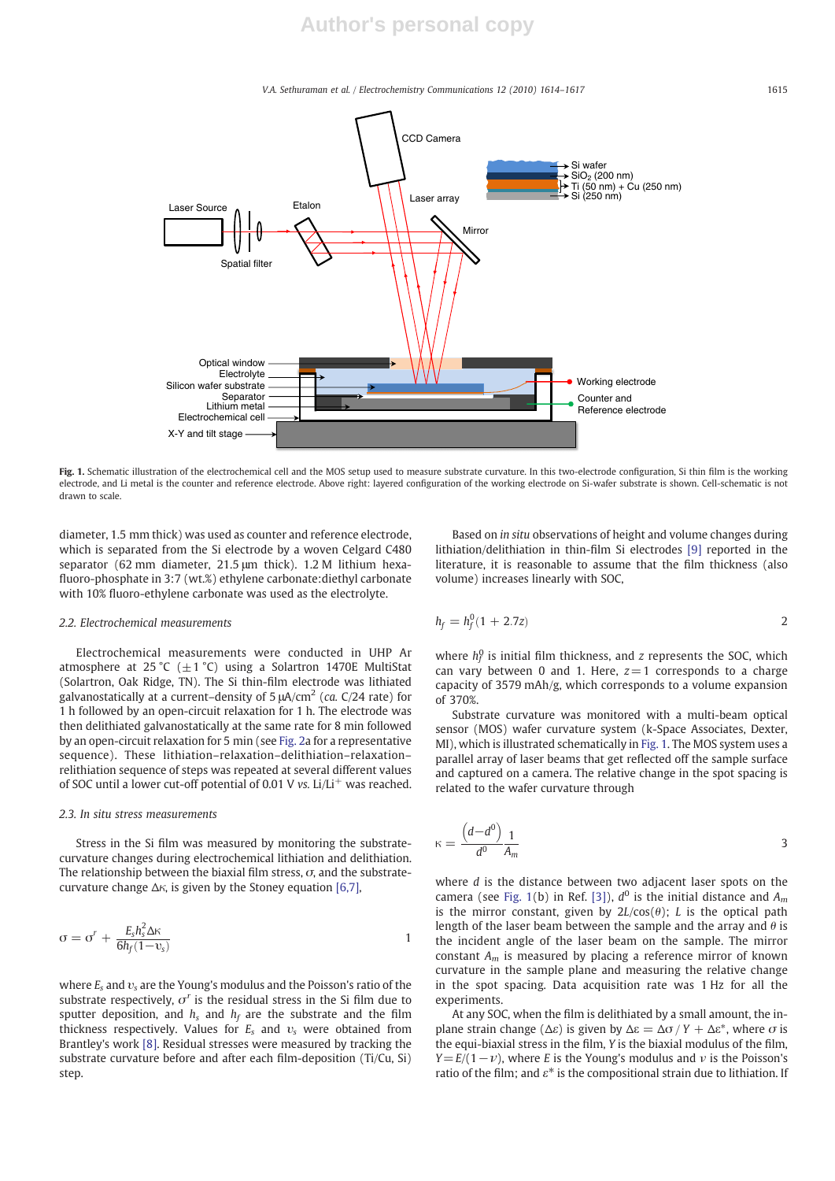V.A. Sethuraman et al. / Electrochemistry Communications 12 (2010) 1614–1617 1615



Fig. 1. Schematic illustration of the electrochemical cell and the MOS setup used to measure substrate curvature. In this two-electrode configuration, Si thin film is the working electrode, and Li metal is the counter and reference electrode. Above right: layered configuration of the working electrode on Si-wafer substrate is shown. Cell-schematic is not drawn to scale.

diameter, 1.5 mm thick) was used as counter and reference electrode, which is separated from the Si electrode by a woven Celgard C480 separator (62 mm diameter, 21.5 μm thick). 1.2 M lithium hexafluoro-phosphate in 3:7 (wt.%) ethylene carbonate:diethyl carbonate with 10% fluoro-ethylene carbonate was used as the electrolyte.

#### 2.2. Electrochemical measurements

Electrochemical measurements were conducted in UHP Ar atmosphere at 25 °C ( $\pm$ 1 °C) using a Solartron 1470E MultiStat (Solartron, Oak Ridge, TN). The Si thin-film electrode was lithiated galvanostatically at a current–density of 5  $\mu$ A/cm<sup>2</sup> (ca. C/24 rate) for 1 h followed by an open-circuit relaxation for 1 h. The electrode was then delithiated galvanostatically at the same rate for 8 min followed by an open-circuit relaxation for 5 min (see Fig. 2a for a representative sequence). These lithiation–relaxation–delithiation–relaxation– relithiation sequence of steps was repeated at several different values of SOC until a lower cut-off potential of 0.01 V vs.  $Li/L<sup>+</sup>$  was reached.

#### 2.3. In situ stress measurements

Stress in the Si film was measured by monitoring the substratecurvature changes during electrochemical lithiation and delithiation. The relationship between the biaxial film stress,  $\sigma$ , and the substratecurvature change  $\Delta \kappa$ , is given by the Stoney equation [6,7],

$$
\sigma = \sigma^r + \frac{E_s h_s^2 \Delta \kappa}{6h_f(1 - v_s)}
$$

where  $E_s$  and  $v_s$  are the Young's modulus and the Poisson's ratio of the substrate respectively,  $\sigma^r$  is the residual stress in the Si film due to sputter deposition, and  $h_s$  and  $h_f$  are the substrate and the film thickness respectively. Values for  $E_s$  and  $v_s$  were obtained from Brantley's work [8]. Residual stresses were measured by tracking the substrate curvature before and after each film-deposition (Ti/Cu, Si) step.

Based on in situ observations of height and volume changes during lithiation/delithiation in thin-film Si electrodes [9] reported in the literature, it is reasonable to assume that the film thickness (also volume) increases linearly with SOC,

$$
h_f = h_f^0 (1 + 2.7z)
$$

where  $h_f^0$  is initial film thickness, and z represents the SOC, which can vary between 0 and 1. Here,  $z=1$  corresponds to a charge capacity of 3579 mAh/g, which corresponds to a volume expansion of 370%.

Substrate curvature was monitored with a multi-beam optical sensor (MOS) wafer curvature system (k-Space Associates, Dexter, MI), which is illustrated schematically in Fig. 1. The MOS system uses a parallel array of laser beams that get reflected off the sample surface and captured on a camera. The relative change in the spot spacing is related to the wafer curvature through

$$
\kappa = \frac{\left(d - d^0\right)}{d^0} \frac{1}{A_m} \tag{3}
$$

where *d* is the distance between two adjacent laser spots on the camera (see Fig. 1(b) in Ref. [3]),  $d^0$  is the initial distance and  $A_m$ is the mirror constant, given by  $2L/cos(\theta)$ ; L is the optical path length of the laser beam between the sample and the array and  $\theta$  is the incident angle of the laser beam on the sample. The mirror constant  $A_m$  is measured by placing a reference mirror of known curvature in the sample plane and measuring the relative change in the spot spacing. Data acquisition rate was 1 Hz for all the experiments.

At any SOC, when the film is delithiated by a small amount, the inplane strain change ( $\Delta \varepsilon$ ) is given by  $\Delta \varepsilon = \Delta \sigma / Y + \Delta \varepsilon^*$ , where  $\sigma$  is the equi-biaxial stress in the film, Y is the biaxial modulus of the film,  $Y=E/(1-\nu)$ , where E is the Young's modulus and  $\nu$  is the Poisson's ratio of the film; and  $\varepsilon^*$  is the compositional strain due to lithiation. If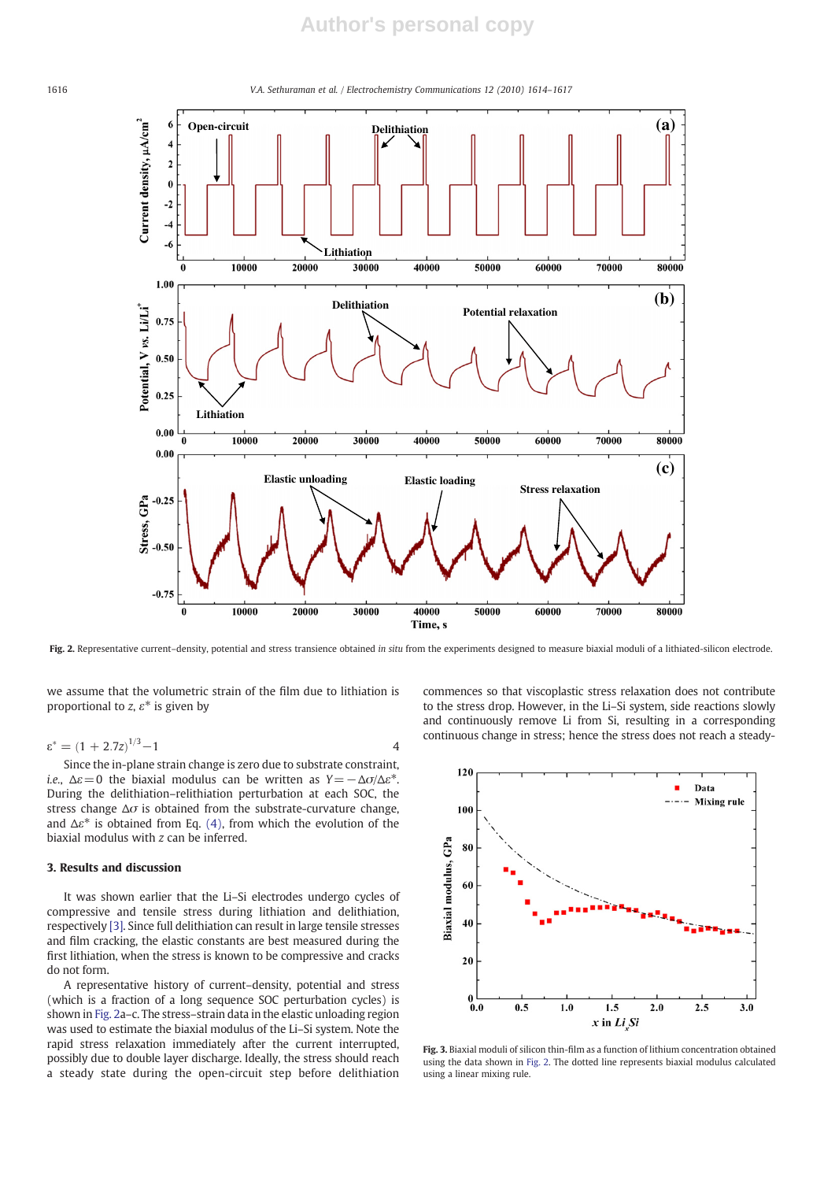# **Author's personal copy**



Fig. 2. Representative current-density, potential and stress transience obtained in situ from the experiments designed to measure biaxial moduli of a lithiated-silicon electrode.

we assume that the volumetric strain of the film due to lithiation is proportional to z,  $\varepsilon^*$  is given by

$$
\varepsilon^* = (1 + 2.7z)^{1/3} - 1
$$

Since the in-plane strain change is zero due to substrate constraint, i.e.,  $\Delta \varepsilon = 0$  the biaxial modulus can be written as  $Y = -\Delta \sigma / \Delta \varepsilon^*$ . During the delithiation–relithiation perturbation at each SOC, the stress change  $\Delta\sigma$  is obtained from the substrate-curvature change, and  $\Delta \varepsilon^*$  is obtained from Eq. (4), from which the evolution of the biaxial modulus with z can be inferred.

# 3. Results and discussion

It was shown earlier that the Li–Si electrodes undergo cycles of compressive and tensile stress during lithiation and delithiation, respectively [3]. Since full delithiation can result in large tensile stresses and film cracking, the elastic constants are best measured during the first lithiation, when the stress is known to be compressive and cracks do not form.

A representative history of current–density, potential and stress (which is a fraction of a long sequence SOC perturbation cycles) is shown in Fig. 2a–c. The stress–strain data in the elastic unloading region was used to estimate the biaxial modulus of the Li–Si system. Note the rapid stress relaxation immediately after the current interrupted, possibly due to double layer discharge. Ideally, the stress should reach a steady state during the open-circuit step before delithiation



commences so that viscoplastic stress relaxation does not contribute to the stress drop. However, in the Li–Si system, side reactions slowly and continuously remove Li from Si, resulting in a corresponding continuous change in stress; hence the stress does not reach a steady-

Fig. 3. Biaxial moduli of silicon thin-film as a function of lithium concentration obtained using the data shown in Fig. 2. The dotted line represents biaxial modulus calculated using a linear mixing rule.